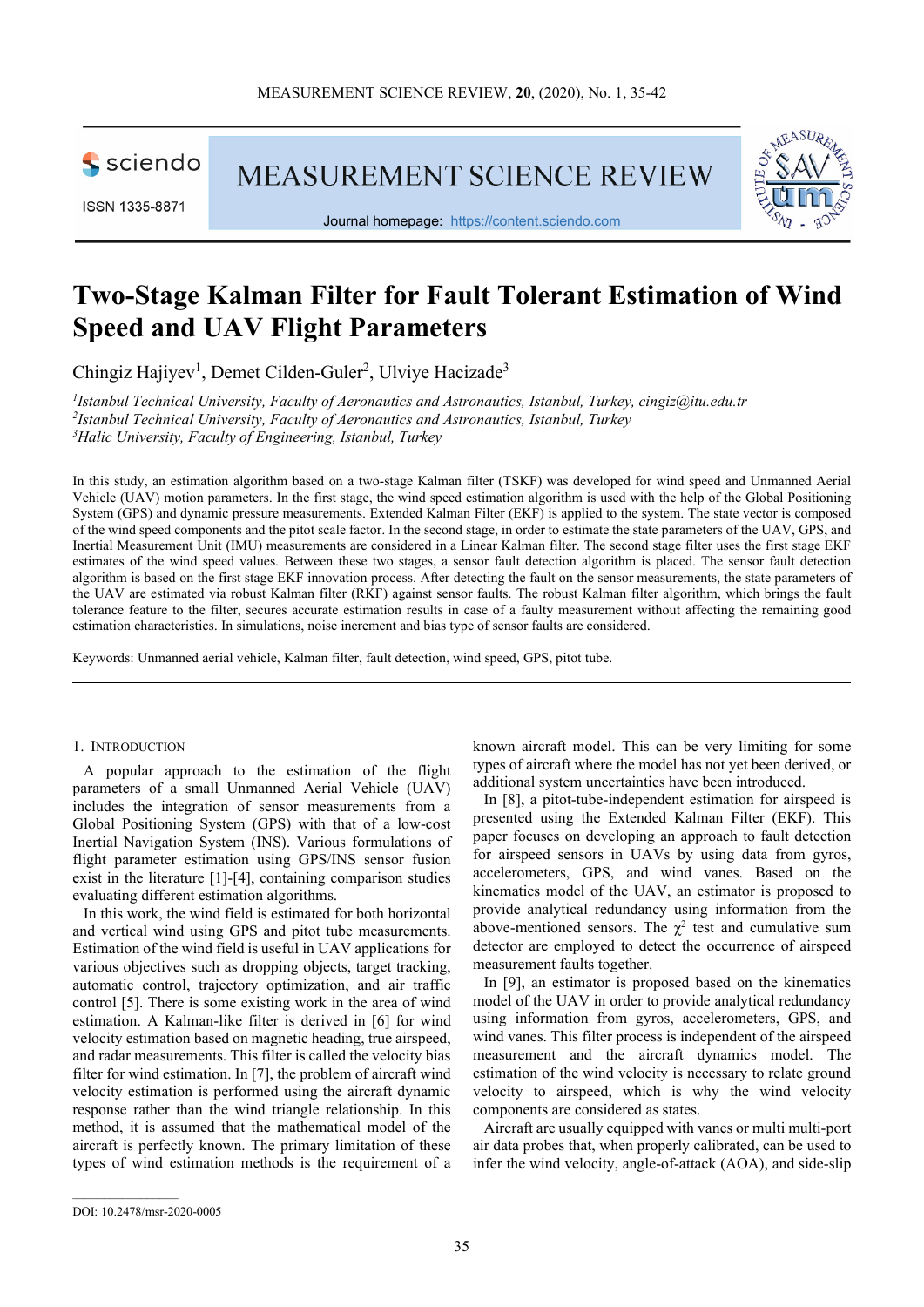sciendo

**MEASUREMENT SCIENCE REVIEW** 





Journal homepage: https://content.sciendo.com

# **Two-Stage Kalman Filter for Fault Tolerant Estimation of Wind Speed and UAV Flight Parameters**

Chingiz Hajiyev<sup>1</sup>, Demet Cilden-Guler<sup>2</sup>, Ulviye Hacizade<sup>3</sup>

*1 Istanbul Technical University, Faculty of Aeronautics and Astronautics, Istanbul, Turkey, cingiz@itu.edu.tr 2 Istanbul Technical University, Faculty of Aeronautics and Astronautics, Istanbul, Turkey <sup>3</sup>Halic University, Faculty of Engineering, Istanbul, Turkey* 

In this study, an estimation algorithm based on a two-stage Kalman filter (TSKF) was developed for wind speed and Unmanned Aerial Vehicle (UAV) motion parameters. In the first stage, the wind speed estimation algorithm is used with the help of the Global Positioning System (GPS) and dynamic pressure measurements. Extended Kalman Filter (EKF) is applied to the system. The state vector is composed of the wind speed components and the pitot scale factor. In the second stage, in order to estimate the state parameters of the UAV, GPS, and Inertial Measurement Unit (IMU) measurements are considered in a Linear Kalman filter. The second stage filter uses the first stage EKF estimates of the wind speed values. Between these two stages, a sensor fault detection algorithm is placed. The sensor fault detection algorithm is based on the first stage EKF innovation process. After detecting the fault on the sensor measurements, the state parameters of the UAV are estimated via robust Kalman filter (RKF) against sensor faults. The robust Kalman filter algorithm, which brings the fault tolerance feature to the filter, secures accurate estimation results in case of a faulty measurement without affecting the remaining good estimation characteristics. In simulations, noise increment and bias type of sensor faults are considered.

Keywords: Unmanned aerial vehicle, Kalman filter, fault detection, wind speed, GPS, pitot tube.

## 1. INTRODUCTION

A popular approach to the estimation of the flight parameters of a small Unmanned Aerial Vehicle (UAV) includes the integration of sensor measurements from a Global Positioning System (GPS) with that of a low-cost Inertial Navigation System (INS). Various formulations of flight parameter estimation using GPS/INS sensor fusion exist in the literature [1]-[4], containing comparison studies evaluating different estimation algorithms.

In this work, the wind field is estimated for both horizontal and vertical wind using GPS and pitot tube measurements. Estimation of the wind field is useful in UAV applications for various objectives such as dropping objects, target tracking, automatic control, trajectory optimization, and air traffic control [5]. There is some existing work in the area of wind estimation. A Kalman-like filter is derived in [6] for wind velocity estimation based on magnetic heading, true airspeed, and radar measurements. This filter is called the velocity bias filter for wind estimation. In [7], the problem of aircraft wind velocity estimation is performed using the aircraft dynamic response rather than the wind triangle relationship. In this method, it is assumed that the mathematical model of the aircraft is perfectly known. The primary limitation of these types of wind estimation methods is the requirement of a known aircraft model. This can be very limiting for some types of aircraft where the model has not yet been derived, or additional system uncertainties have been introduced.

In [8], a pitot-tube-independent estimation for airspeed is presented using the Extended Kalman Filter (EKF). This paper focuses on developing an approach to fault detection for airspeed sensors in UAVs by using data from gyros, accelerometers, GPS, and wind vanes. Based on the kinematics model of the UAV, an estimator is proposed to provide analytical redundancy using information from the above-mentioned sensors. The  $\chi^2$  test and cumulative sum detector are employed to detect the occurrence of airspeed measurement faults together.

In [9], an estimator is proposed based on the kinematics model of the UAV in order to provide analytical redundancy using information from gyros, accelerometers, GPS, and wind vanes. This filter process is independent of the airspeed measurement and the aircraft dynamics model. The estimation of the wind velocity is necessary to relate ground velocity to airspeed, which is why the wind velocity components are considered as states.

Aircraft are usually equipped with vanes or multi multi-port air data probes that, when properly calibrated, can be used to infer the wind velocity, angle-of-attack (AOA), and side-slip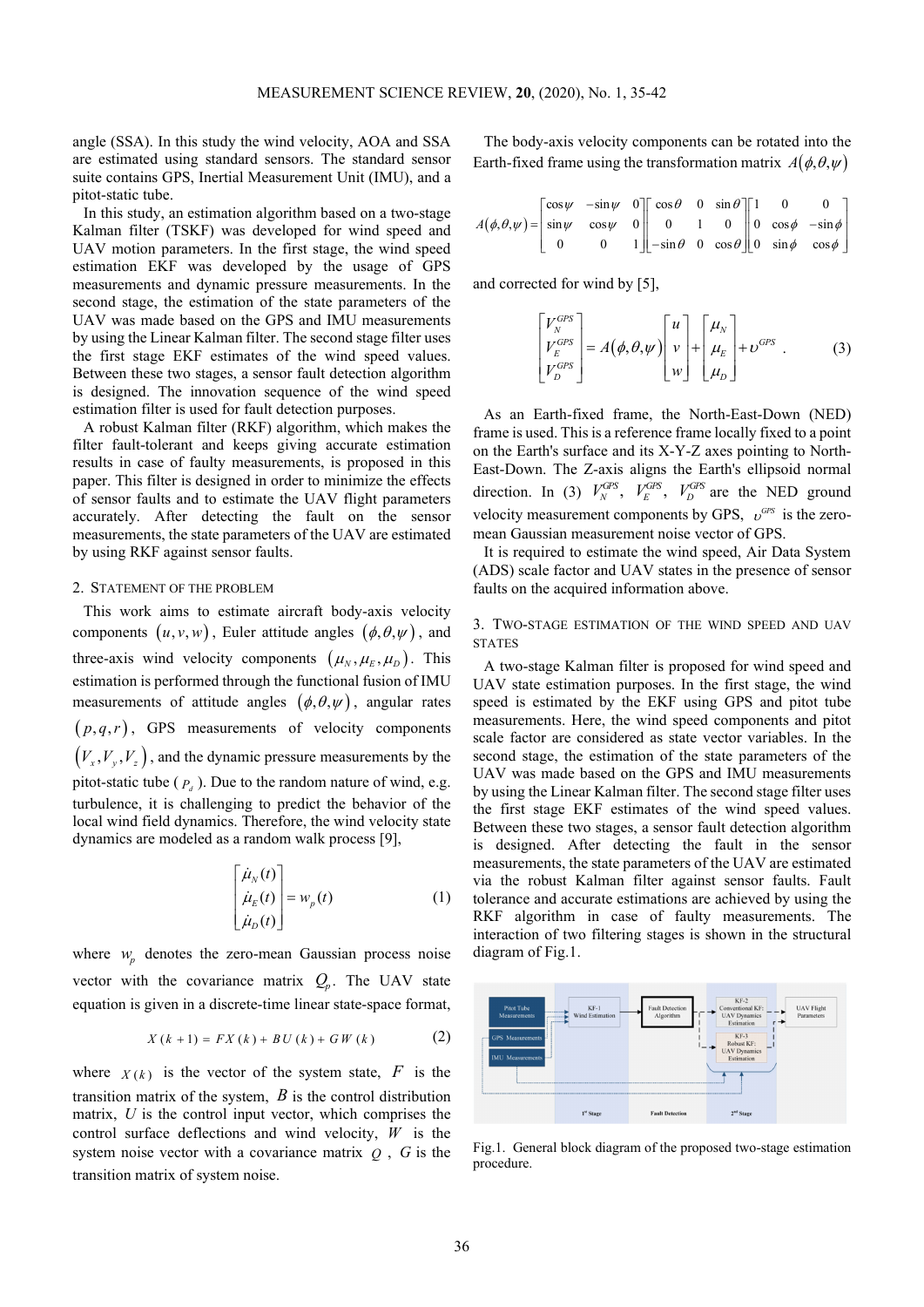angle (SSA). In this study the wind velocity, AOA and SSA are estimated using standard sensors. The standard sensor suite contains GPS, Inertial Measurement Unit (IMU), and a pitot-static tube.

In this study, an estimation algorithm based on a two-stage Kalman filter (TSKF) was developed for wind speed and UAV motion parameters. In the first stage, the wind speed estimation EKF was developed by the usage of GPS measurements and dynamic pressure measurements. In the second stage, the estimation of the state parameters of the UAV was made based on the GPS and IMU measurements by using the Linear Kalman filter. The second stage filter uses the first stage EKF estimates of the wind speed values. Between these two stages, a sensor fault detection algorithm is designed. The innovation sequence of the wind speed estimation filter is used for fault detection purposes.

A robust Kalman filter (RKF) algorithm, which makes the filter fault-tolerant and keeps giving accurate estimation results in case of faulty measurements, is proposed in this paper. This filter is designed in order to minimize the effects of sensor faults and to estimate the UAV flight parameters accurately. After detecting the fault on the sensor measurements, the state parameters of the UAV are estimated by using RKF against sensor faults.

## 2. STATEMENT OF THE PROBLEM

This work aims to estimate aircraft body-axis velocity components  $(u, v, w)$ , Euler attitude angles  $(\phi, \theta, \psi)$ , and three-axis wind velocity components  $(\mu_N, \mu_E, \mu_D)$ . This estimation is performed through the functional fusion of IMU measurements of attitude angles  $(\phi, \theta, \psi)$ , angular rates  $(p,q,r)$ , GPS measurements of velocity components  $(V_x, V_y, V_z)$ , and the dynamic pressure measurements by the pitot-static tube  $(P_d)$ . Due to the random nature of wind, e.g. turbulence, it is challenging to predict the behavior of the local wind field dynamics. Therefore, the wind velocity state dynamics are modeled as a random walk process [9],

$$
\begin{bmatrix} \dot{\mu}_N(t) \\ \dot{\mu}_E(t) \\ \dot{\mu}_D(t) \end{bmatrix} = w_p(t)
$$
 (1)

where  $w_p$  denotes the zero-mean Gaussian process noise vector with the covariance matrix  $Q_p$ . The UAV state equation is given in a discrete-time linear state-space format,

$$
X (k + 1) = FX (k) + BU (k) + GW (k)
$$
 (2)

where  $X(k)$  is the vector of the system state, F is the transition matrix of the system, *B* is the control distribution matrix, *U* is the control input vector, which comprises the control surface deflections and wind velocity, *W* is the system noise vector with a covariance matrix  $Q$ ,  $G$  is the transition matrix of system noise.

The body-axis velocity components can be rotated into the Earth-fixed frame using the transformation matrix  $A(\phi, \theta, \psi)$ 

$$
A(\phi,\theta,\psi) = \begin{bmatrix} \cos\psi & -\sin\psi & 0 \\ \sin\psi & \cos\psi & 0 \\ 0 & 0 & 1 \end{bmatrix} \begin{bmatrix} \cos\theta & 0 & \sin\theta \\ 0 & 1 & 0 \\ -\sin\theta & 0 & \cos\theta \end{bmatrix} \begin{bmatrix} 1 & 0 & 0 \\ 0 & \cos\phi & -\sin\phi \\ 0 & \sin\phi & \cos\phi \end{bmatrix}
$$

and corrected for wind by [5],

$$
\begin{bmatrix} V_N^{GPS} \\ V_E^{GPS} \\ V_D^{GPS} \end{bmatrix} = A(\phi, \theta, \psi) \begin{bmatrix} u \\ v \\ w \end{bmatrix} + \begin{bmatrix} \mu_N \\ \mu_E \\ \mu_D \end{bmatrix} + \upsilon^{GPS} . \tag{3}
$$

As an Earth-fixed frame, the North-East-Down (NED) frame is used. This is a reference frame locally fixed to a point on the Earth's surface and its X-Y-Z axes pointing to North-East-Down. The Z-axis aligns the Earth's ellipsoid normal direction. In (3)  $V_N^{GPS}$ ,  $V_E^{GPS}$ ,  $V_D^{GPS}$  are the NED ground velocity measurement components by GPS,  $v^{CPS}$  is the zeromean Gaussian measurement noise vector of GPS.

It is required to estimate the wind speed, Air Data System (ADS) scale factor and UAV states in the presence of sensor faults on the acquired information above.

3. TWO-STAGE ESTIMATION OF THE WIND SPEED AND UAV **STATES** 

A two-stage Kalman filter is proposed for wind speed and UAV state estimation purposes. In the first stage, the wind speed is estimated by the EKF using GPS and pitot tube measurements. Here, the wind speed components and pitot scale factor are considered as state vector variables. In the second stage, the estimation of the state parameters of the UAV was made based on the GPS and IMU measurements by using the Linear Kalman filter. The second stage filter uses the first stage EKF estimates of the wind speed values. Between these two stages, a sensor fault detection algorithm is designed. After detecting the fault in the sensor measurements, the state parameters of the UAV are estimated via the robust Kalman filter against sensor faults. Fault tolerance and accurate estimations are achieved by using the RKF algorithm in case of faulty measurements. The interaction of two filtering stages is shown in the structural diagram of Fig.1.



Fig.1. General block diagram of the proposed two-stage estimation procedure.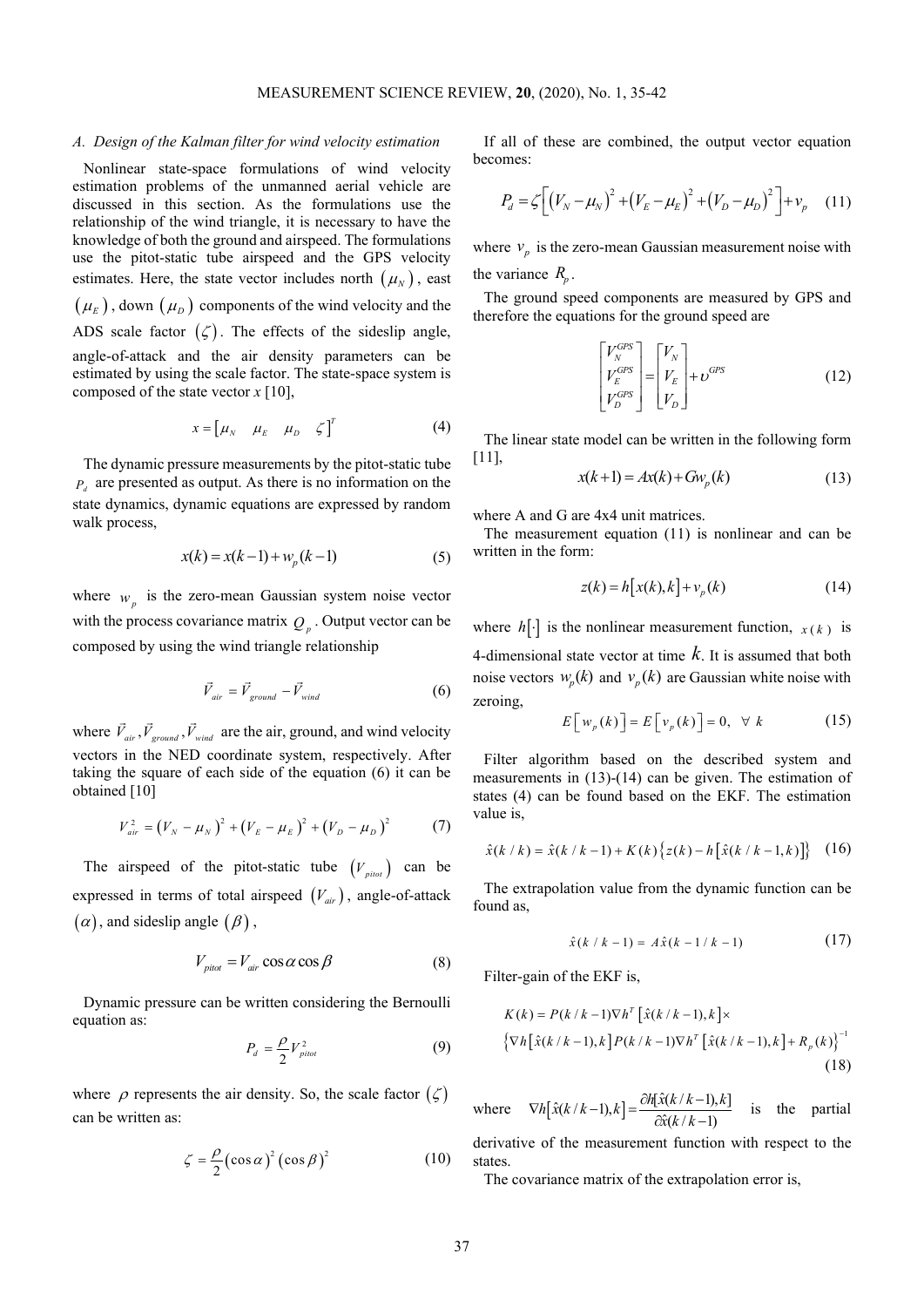#### *A. Design of the Kalman filter for wind velocity estimation*

Nonlinear state-space formulations of wind velocity estimation problems of the unmanned aerial vehicle are discussed in this section. As the formulations use the relationship of the wind triangle, it is necessary to have the knowledge of both the ground and airspeed. The formulations use the pitot-static tube airspeed and the GPS velocity estimates. Here, the state vector includes north  $(\mu_N)$ , east  $(\mu_{E})$ , down  $(\mu_{D})$  components of the wind velocity and the ADS scale factor  $(\zeta)$ . The effects of the sideslip angle, angle-of-attack and the air density parameters can be estimated by using the scale factor. The state-space system is composed of the state vector *x* [10],

$$
x = \begin{bmatrix} \mu_N & \mu_E & \mu_D & \zeta \end{bmatrix}^T
$$
 (4)

The dynamic pressure measurements by the pitot-static tube  $P_d$  are presented as output. As there is no information on the state dynamics, dynamic equations are expressed by random walk process,

$$
x(k) = x(k-1) + w_p(k-1)
$$
 (5)

where  $w_p$  is the zero-mean Gaussian system noise vector with the process covariance matrix  $Q_p$ . Output vector can be composed by using the wind triangle relationship

$$
\vec{V}_{air} = \vec{V}_{ground} - \vec{V}_{wind}
$$
 (6)

where  $\vec{V}_{air}$ ,  $\vec{V}_{ground}$ ,  $\vec{V}_{wind}$  $\overline{r}$  r  $\overline{r}$  are the air, ground, and wind velocity vectors in the NED coordinate system, respectively. After taking the square of each side of the equation (6) it can be obtained [10]

$$
V_{air}^{2} = (V_{N} - \mu_{N})^{2} + (V_{E} - \mu_{E})^{2} + (V_{D} - \mu_{D})^{2}
$$
 (7)

The airspeed of the pitot-static tube  $(V_{pilot})$  can be expressed in terms of total airspeed  $(V_{air})$ , angle-of-attack  $(\alpha)$ , and sideslip angle  $(\beta)$ ,

$$
V_{pitot} = V_{air} \cos \alpha \cos \beta \tag{8}
$$

Dynamic pressure can be written considering the Bernoulli equation as:

$$
P_d = \frac{\rho}{2} V_{pilot}^2 \tag{9}
$$

where  $\rho$  represents the air density. So, the scale factor  $(\zeta)$ can be written as:

$$
\zeta = \frac{\rho}{2} (\cos \alpha)^2 (\cos \beta)^2 \tag{10}
$$

If all of these are combined, the output vector equation becomes:

$$
P_d = \zeta \left[ \left( V_N - \mu_N \right)^2 + \left( V_E - \mu_E \right)^2 + \left( V_D - \mu_D \right)^2 \right] + v_p \quad (11)
$$

where  $v_p$  is the zero-mean Gaussian measurement noise with the variance  $R_p$ .

The ground speed components are measured by GPS and therefore the equations for the ground speed are

$$
\begin{bmatrix} V_N^{GPS} \\ V_E^{GPS} \\ V_D^{GPS} \end{bmatrix} = \begin{bmatrix} V_N \\ V_E \\ V_D \end{bmatrix} + \upsilon^{GPS} \tag{12}
$$

The linear state model can be written in the following form [11],

$$
x(k+1) = Ax(k) + Gwp(k)
$$
\n(13)

where A and G are 4x4 unit matrices.

The measurement equation (11) is nonlinear and can be written in the form:

$$
z(k) = h[x(k),k] + v_p(k)
$$
 (14)

where  $h[\cdot]$  is the nonlinear measurement function,  $x(k)$  is 4-dimensional state vector at time *k*. It is assumed that both noise vectors  $w_p(k)$  and  $v_p(k)$  are Gaussian white noise with zeroing,

$$
E\left[w_{p}(k)\right] = E\left[v_{p}(k)\right] = 0, \quad \forall k \tag{15}
$$

Filter algorithm based on the described system and measurements in (13)-(14) can be given. The estimation of states (4) can be found based on the EKF. The estimation value is,

$$
\hat{x}(k / k) = \hat{x}(k / k - 1) + K(k) \{ z(k) - h [\hat{x}(k / k - 1, k)] \} (16)
$$

The extrapolation value from the dynamic function can be found as,

$$
\hat{x}(k / k - 1) = A\hat{x}(k - 1 / k - 1) \tag{17}
$$

Filter-gain of the EKF is,

$$
K(k) = P(k/k - 1)\nabla h^{T} [\hat{x}(k/k - 1), k] \times
$$
  

$$
{\nabla h [\hat{x}(k/k - 1), k] P(k/k - 1)\nabla h^{T} [\hat{x}(k/k - 1), k] + R_{p}(k)}^{-1}
$$
  
(18)

where  $\nabla h \big[ \hat{x}(k/k-1), k \big] = \frac{\partial h[\hat{x}(k/k-1), k]}{\partial \hat{x}(k/k-1)}$  $\nabla h\big[\hat{x}(k/k-1),k\big]=\frac{\partial h[\hat{x}(k/k-1),k]}{\partial \hat{x}(k/k-1)}$  is the partial

derivative of the measurement function with respect to the states.

The covariance matrix of the extrapolation error is,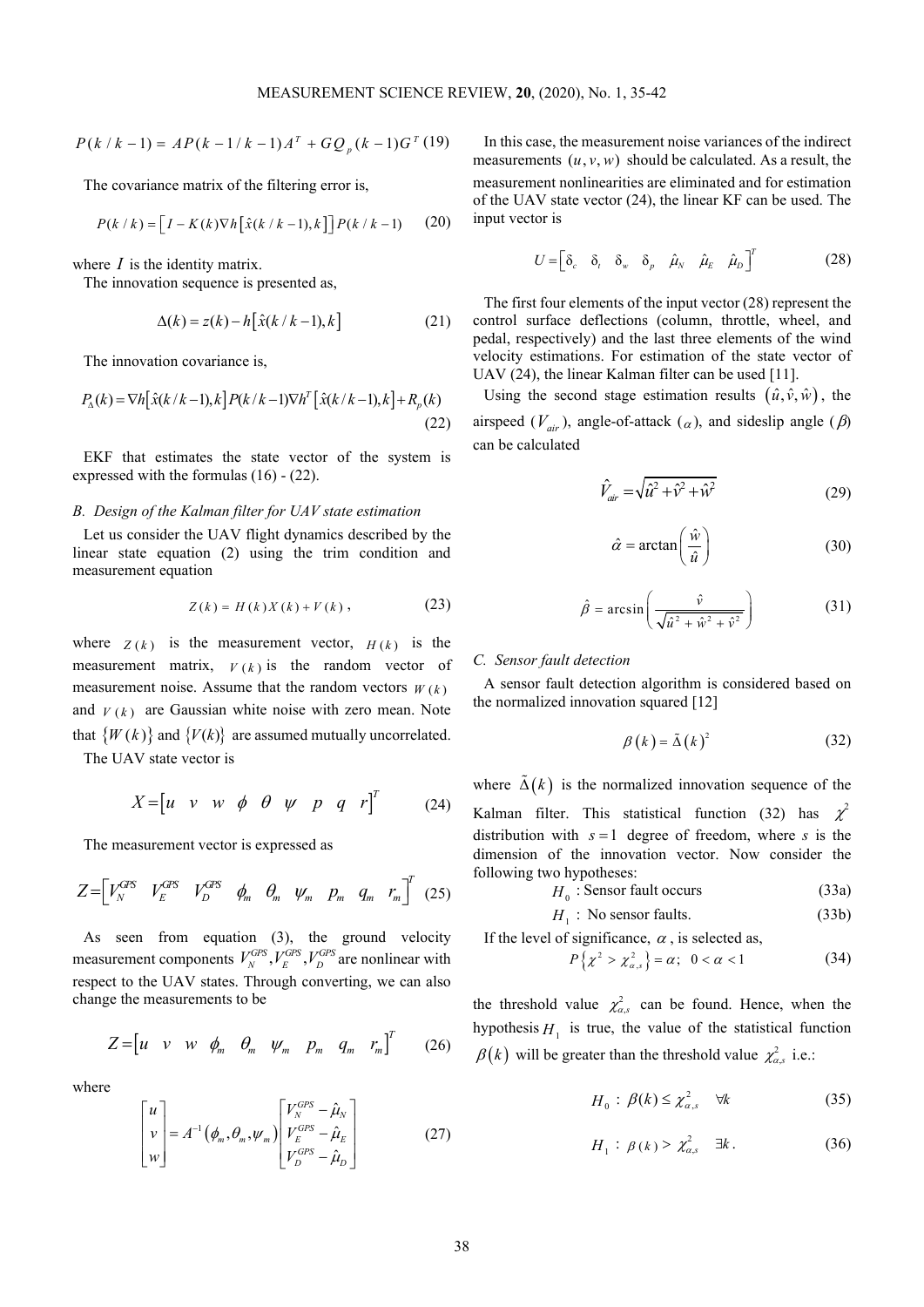$$
P(k/k - 1) = AP(k - 1/k - 1)AT + GQp(k - 1)GT(19)
$$

The covariance matrix of the filtering error is,

$$
P(k / k) = \left[I - K(k)\nabla h\left[\hat{x}(k / k - 1), k\right]\right]P(k / k - 1) \tag{20}
$$

where *I* is the identity matrix.

The innovation sequence is presented as,

$$
\Delta(k) = z(k) - h\big[\hat{x}(k/k - 1), k\big]
$$
 (21)

The innovation covariance is,

$$
P_{\Lambda}(k) = \nabla h \left[ \hat{x}(k/k - 1), k \right] P(k/k - 1) \nabla h^{T} \left[ \hat{x}(k/k - 1), k \right] + R_{p}(k)
$$
\n(22)

EKF that estimates the state vector of the system is expressed with the formulas (16) - (22).

# *B. Design of the Kalman filter for UAV state estimation*

Let us consider the UAV flight dynamics described by the linear state equation (2) using the trim condition and measurement equation

$$
Z(k) = H(k)X(k) + V(k),
$$
 (23)

where  $Z(k)$  is the measurement vector,  $H(k)$  is the measurement matrix,  $V(k)$  is the random vector of measurement noise. Assume that the random vectors  $W(k)$ and  $V(k)$  are Gaussian white noise with zero mean. Note that  $\{W(k)\}\$  and  $\{V(k)\}\$  are assumed mutually uncorrelated. The UAV state vector is

$$
X = \begin{bmatrix} u & v & w & \phi & \theta & \psi & p & q & r \end{bmatrix}^T \qquad (24)
$$

The measurement vector is expressed as

$$
Z = \begin{bmatrix} V_N^{GPS} & V_D^{GPS} & V_D^{OPS} & \phi_m & \theta_m & \psi_m & p_m & q_m & r_m \end{bmatrix}^T (25)
$$

As seen from equation (3), the ground velocity measurement components  $V_N^{GPS}$ ,  $V_E^{GPS}$ ,  $V_D^{GPS}$  are nonlinear with respect to the UAV states. Through converting, we can also change the measurements to be

$$
Z = \begin{bmatrix} u & v & w & \phi_m & \theta_m & \psi_m & p_m & q_m & r_m \end{bmatrix}^T \qquad (26)
$$

where

$$
\begin{bmatrix} u \\ v \\ w \end{bmatrix} = A^{-1} \left( \phi_m, \theta_m, \psi_m \right) \begin{bmatrix} V_N^{GPS} - \hat{\mu}_N \\ V_N^{ GPS} - \hat{\mu}_E \\ V_D^{ GPS} - \hat{\mu}_D \end{bmatrix}
$$
 (27)

In this case, the measurement noise variances of the indirect measurements  $(u, v, w)$  should be calculated. As a result, the measurement nonlinearities are eliminated and for estimation of the UAV state vector (24), the linear KF can be used. The input vector is

$$
U = \begin{bmatrix} \delta_c & \delta_t & \delta_w & \delta_p & \hat{\mu}_N & \hat{\mu}_E & \hat{\mu}_D \end{bmatrix}^T
$$
 (28)

The first four elements of the input vector (28) represent the control surface deflections (column, throttle, wheel, and pedal, respectively) and the last three elements of the wind velocity estimations. For estimation of the state vector of UAV (24), the linear Kalman filter can be used [11].

Using the second stage estimation results  $(\hat{u}, \hat{v}, \hat{w})$ , the airspeed ( $V_{air}$ ), angle-of-attack ( $\alpha$ ), and sideslip angle ( $\beta$ ) can be calculated

$$
\hat{V}_{air} = \sqrt{\hat{u}^2 + \hat{v}^2 + \hat{w}^2}
$$
\n(29)

$$
\hat{\alpha} = \arctan\left(\frac{\hat{w}}{\hat{u}}\right) \tag{30}
$$

$$
\hat{\beta} = \arcsin\left(\frac{\hat{v}}{\sqrt{\hat{u}^2 + \hat{w}^2 + \hat{v}^2}}\right)
$$
(31)

#### *C. Sensor fault detection*

A sensor fault detection algorithm is considered based on the normalized innovation squared [12]

$$
\beta(k) = \tilde{\Delta}(k)^2 \tag{32}
$$

where  $\tilde{\Delta}(k)$  is the normalized innovation sequence of the Kalman filter. This statistical function (32) has  $\chi^2$ distribution with  $s = 1$  degree of freedom, where *s* is the dimension of the innovation vector. Now consider the following two hypotheses:

$$
H_0: \text{Sensor fault occurs} \tag{33a}
$$

$$
H_1: \text{No sensor faults.} \tag{33b}
$$

If the level of significance,  $\alpha$ , is selected as,

$$
P\left\{\chi^2 > \chi^2_{\alpha,s}\right\} = \alpha; \ \ 0 < \alpha < 1 \tag{34}
$$

the threshold value  $\chi^2_{\alpha,s}$  can be found. Hence, when the hypothesis  $H_1$  is true, the value of the statistical function  $\beta(k)$  will be greater than the threshold value  $\chi^2_{\alpha,s}$  i.e.:

$$
H_0: \beta(k) \le \chi^2_{\alpha,s} \quad \forall k \tag{35}
$$

$$
H_1: \beta(k) > \chi^2_{\alpha,s} \quad \exists k. \tag{36}
$$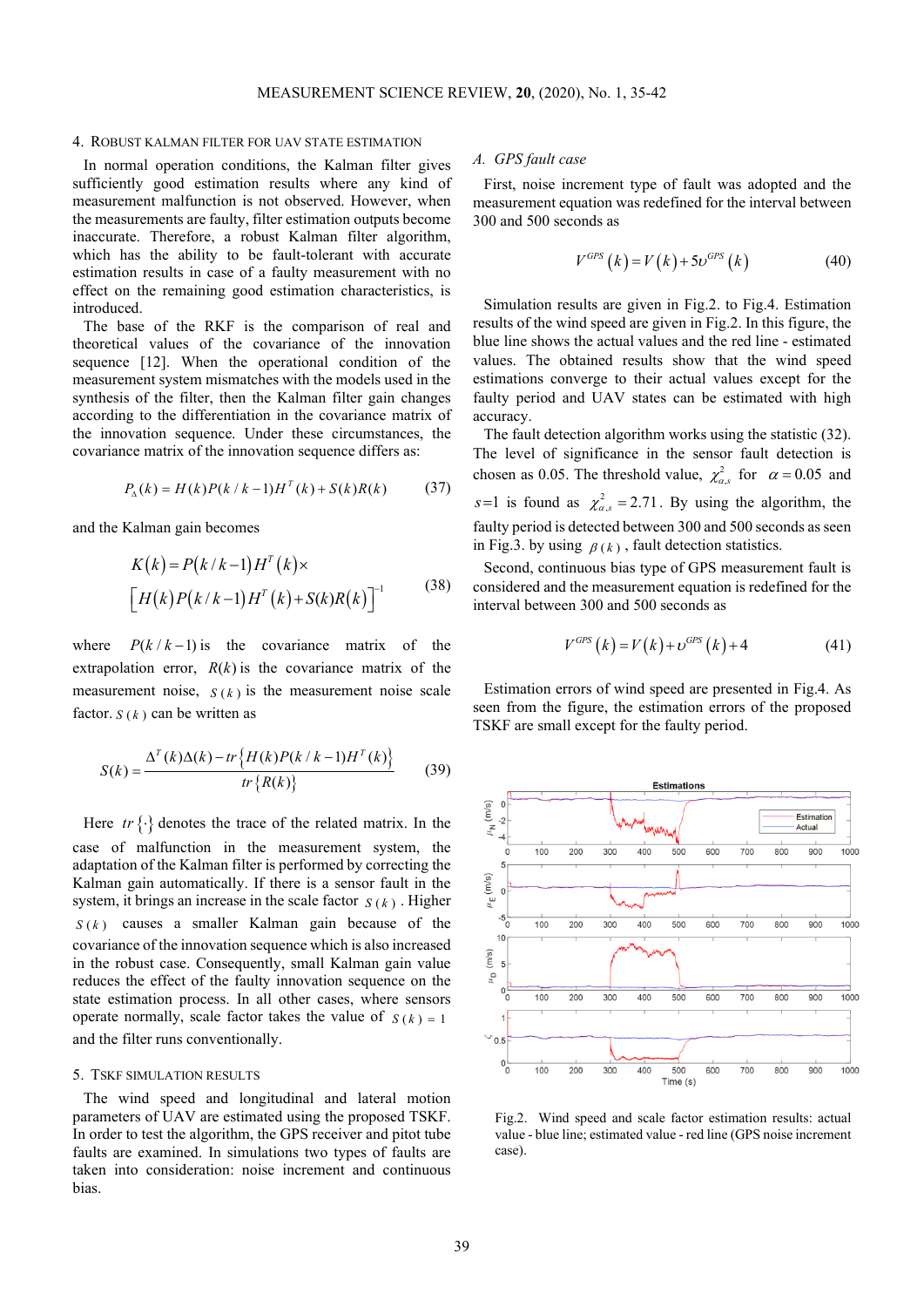## 4. ROBUST KALMAN FILTER FOR UAV STATE ESTIMATION

In normal operation conditions, the Kalman filter gives sufficiently good estimation results where any kind of measurement malfunction is not observed. However, when the measurements are faulty, filter estimation outputs become inaccurate. Therefore, a robust Kalman filter algorithm, which has the ability to be fault-tolerant with accurate estimation results in case of a faulty measurement with no effect on the remaining good estimation characteristics, is introduced.

The base of the RKF is the comparison of real and theoretical values of the covariance of the innovation sequence [12]. When the operational condition of the measurement system mismatches with the models used in the synthesis of the filter, then the Kalman filter gain changes according to the differentiation in the covariance matrix of the innovation sequence. Under these circumstances, the covariance matrix of the innovation sequence differs as:

$$
P_{\mathbf{A}}(k) = H(k)P(k/k - 1)H^{T}(k) + S(k)R(k)
$$
 (37)

and the Kalman gain becomes

$$
K(k) = P(k/k-1)HT(k) \times
$$
  
\n
$$
[H(k)P(k/k-1)HT(k)+S(k)R(k)]-1
$$
 (38)

where  $P(k/k-1)$  is the covariance matrix of the extrapolation error,  $R(k)$  is the covariance matrix of the measurement noise,  $S(k)$  is the measurement noise scale factor.  $S(k)$  can be written as

$$
S(k) = \frac{\Delta^{T}(k)\Delta(k) - tr\{H(k)P(k/k-1)H^{T}(k)\}}{tr\{R(k)\}}
$$
(39)

Here  $tr \{\cdot\}$  denotes the trace of the related matrix. In the case of malfunction in the measurement system, the adaptation of the Kalman filter is performed by correcting the Kalman gain automatically. If there is a sensor fault in the system, it brings an increase in the scale factor  $S(k)$ . Higher  $S(k)$  causes a smaller Kalman gain because of the covariance of the innovation sequence which is also increased in the robust case. Consequently, small Kalman gain value reduces the effect of the faulty innovation sequence on the state estimation process. In all other cases, where sensors operate normally, scale factor takes the value of  $S(k) = 1$ and the filter runs conventionally.

# 5. TSKF SIMULATION RESULTS

The wind speed and longitudinal and lateral motion parameters of UAV are estimated using the proposed TSKF. In order to test the algorithm, the GPS receiver and pitot tube faults are examined. In simulations two types of faults are taken into consideration: noise increment and continuous bias.

## *A. GPS fault case*

First, noise increment type of fault was adopted and the measurement equation was redefined for the interval between 300 and 500 seconds as

$$
V^{GPS} (k) = V(k) + 5v^{GPS} (k)
$$
 (40)

Simulation results are given in Fig.2. to Fig.4. Estimation results of the wind speed are given in Fig.2. In this figure, the blue line shows the actual values and the red line - estimated values. The obtained results show that the wind speed estimations converge to their actual values except for the faulty period and UAV states can be estimated with high accuracy.

The fault detection algorithm works using the statistic (32). The level of significance in the sensor fault detection is chosen as 0.05. The threshold value,  $\chi^2_{\alpha,s}$  for  $\alpha = 0.05$  and  $s=1$  is found as  $\chi^2_{\alpha,s} = 2.71$ . By using the algorithm, the faulty period is detected between 300 and 500 seconds as seen in Fig.3. by using  $\beta(k)$ , fault detection statistics.

Second, continuous bias type of GPS measurement fault is considered and the measurement equation is redefined for the interval between 300 and 500 seconds as

$$
V^{GPS} (k) = V(k) + v^{GPS} (k) + 4
$$
 (41)

Estimation errors of wind speed are presented in Fig.4. As seen from the figure, the estimation errors of the proposed TSKF are small except for the faulty period.



Fig.2. Wind speed and scale factor estimation results: actual value - blue line; estimated value - red line (GPS noise increment case).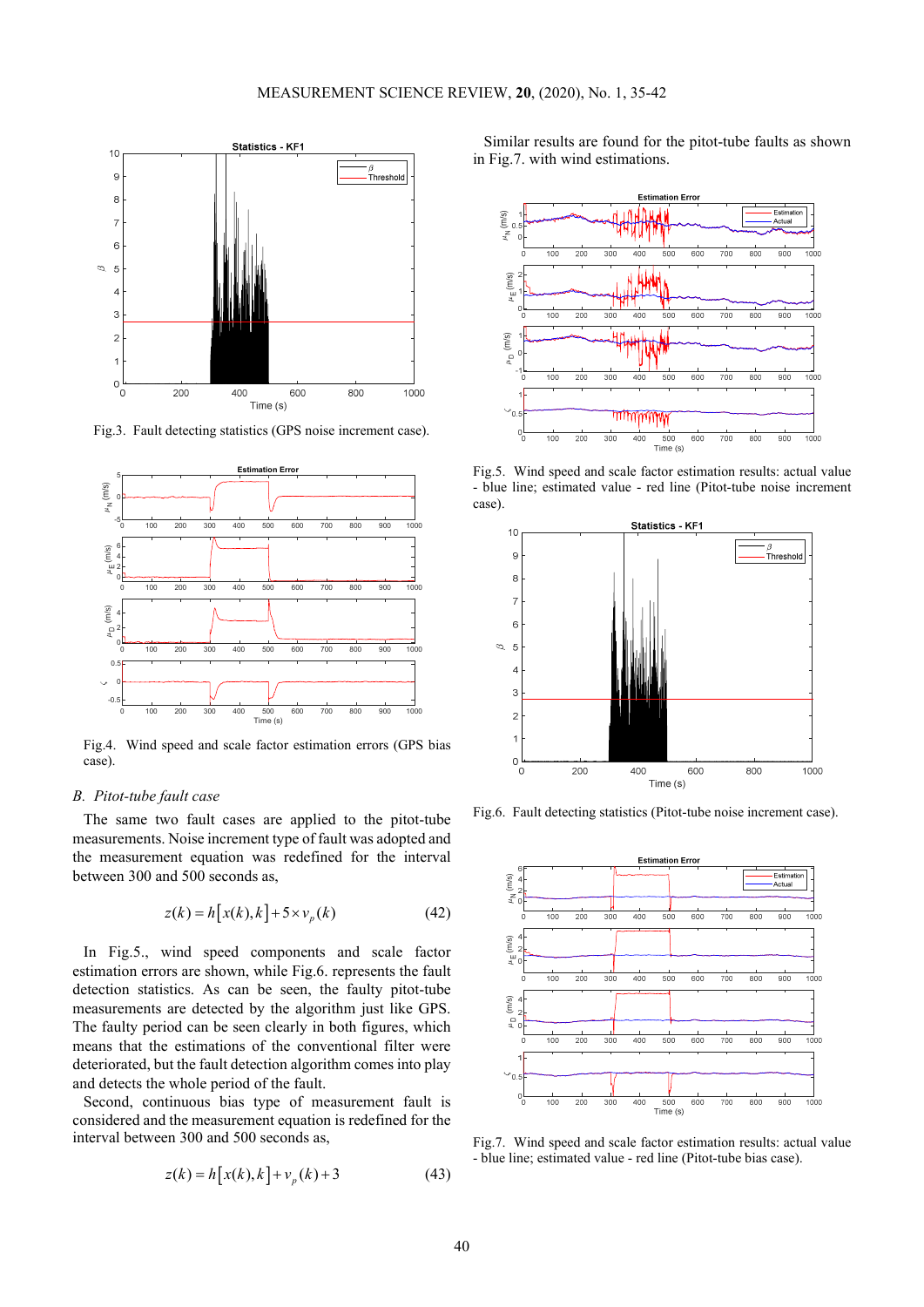

Fig.3. Fault detecting statistics (GPS noise increment case).



Fig.4. Wind speed and scale factor estimation errors (GPS bias case).

## *B. Pitot-tube fault case*

The same two fault cases are applied to the pitot-tube measurements. Noise increment type of fault was adopted and the measurement equation was redefined for the interval between 300 and 500 seconds as,

$$
z(k) = h[x(k),k] + 5 \times v_p(k)
$$
 (42)

In Fig.5., wind speed components and scale factor estimation errors are shown, while Fig.6. represents the fault detection statistics. As can be seen, the faulty pitot-tube measurements are detected by the algorithm just like GPS. The faulty period can be seen clearly in both figures, which means that the estimations of the conventional filter were deteriorated, but the fault detection algorithm comes into play and detects the whole period of the fault.

Second, continuous bias type of measurement fault is considered and the measurement equation is redefined for the interval between 300 and 500 seconds as,

$$
z(k) = h[x(k),k] + vp(k) + 3
$$
 (43)

Similar results are found for the pitot-tube faults as shown in Fig.7. with wind estimations.



Fig.5. Wind speed and scale factor estimation results: actual value - blue line; estimated value - red line (Pitot-tube noise increment case).



Fig.6. Fault detecting statistics (Pitot-tube noise increment case).



Fig.7. Wind speed and scale factor estimation results: actual value - blue line; estimated value - red line (Pitot-tube bias case).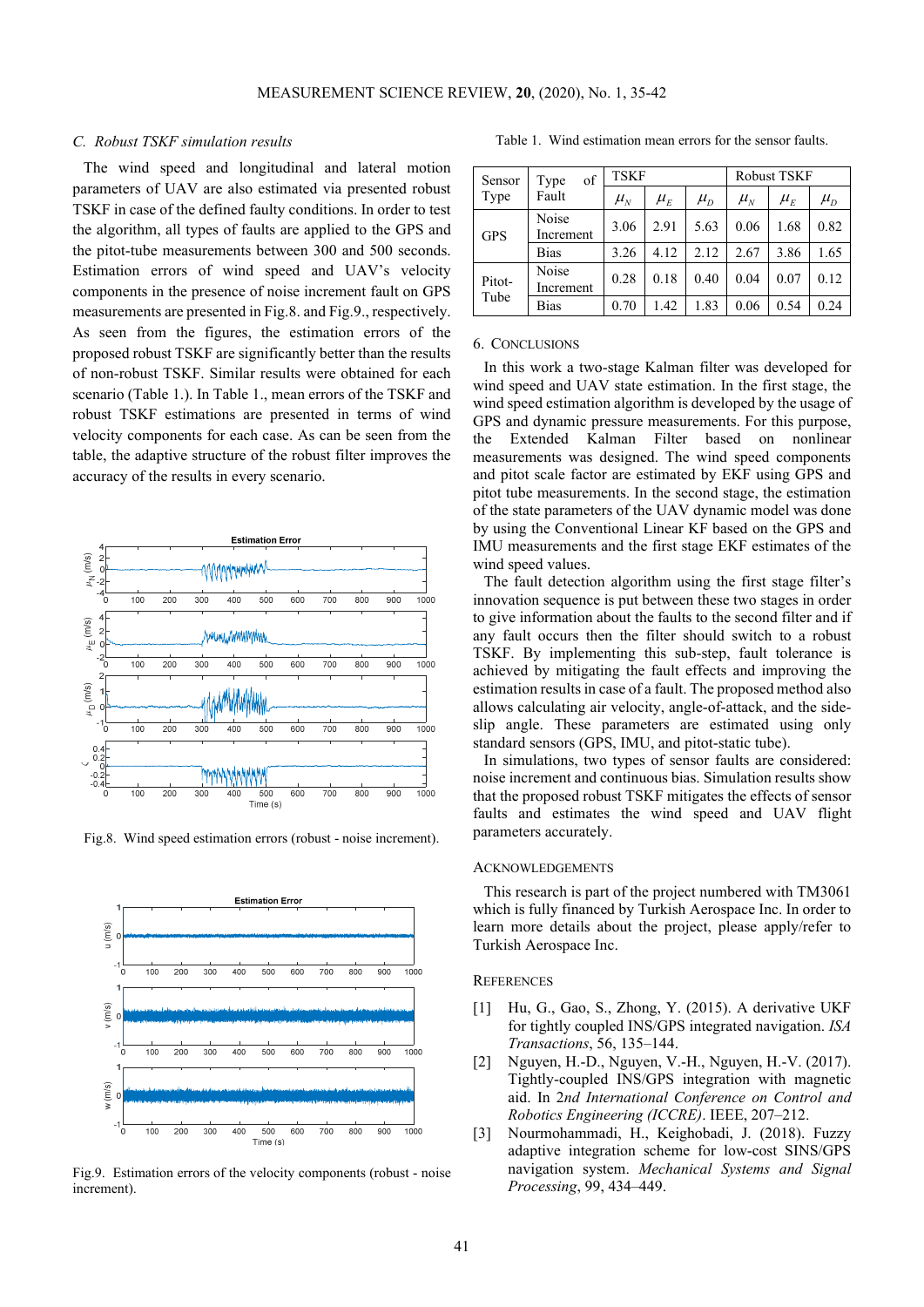## *C. Robust TSKF simulation results*

The wind speed and longitudinal and lateral motion parameters of UAV are also estimated via presented robust TSKF in case of the defined faulty conditions. In order to test the algorithm, all types of faults are applied to the GPS and the pitot-tube measurements between 300 and 500 seconds. Estimation errors of wind speed and UAV's velocity components in the presence of noise increment fault on GPS measurements are presented in Fig.8. and Fig.9., respectively. As seen from the figures, the estimation errors of the proposed robust TSKF are significantly better than the results of non-robust TSKF. Similar results were obtained for each scenario (Table 1.). In Table 1., mean errors of the TSKF and robust TSKF estimations are presented in terms of wind velocity components for each case. As can be seen from the table, the adaptive structure of the robust filter improves the accuracy of the results in every scenario.



Fig.8. Wind speed estimation errors (robust - noise increment).



Fig.9. Estimation errors of the velocity components (robust - noise increment).

Table 1. Wind estimation mean errors for the sensor faults.

| Sensor<br>Type | of<br>Type<br>Fault | <b>TSKF</b> |                              |           | <b>Robust TSKF</b>           |           |                              |
|----------------|---------------------|-------------|------------------------------|-----------|------------------------------|-----------|------------------------------|
|                |                     | $\mu_{_N}$  | $\mu_{\scriptscriptstyle E}$ | $\mu_{D}$ | $\mu_{\scriptscriptstyle N}$ | $\mu_{E}$ | $\mu_{\scriptscriptstyle D}$ |
| <b>GPS</b>     | Noise<br>Increment  | 3.06        | 2.91                         | 5.63      | 0.06                         | 1.68      | 0.82                         |
|                | <b>Bias</b>         | 3.26        | 4.12                         | 2.12      | 2.67                         | 3.86      | 1.65                         |
| Pitot-<br>Tube | Noise<br>Increment  | 0.28        | 0.18                         | 0.40      | 0.04                         | 0.07      | 0.12                         |
|                | <b>Bias</b>         | 0.70        | 1.42                         | 1.83      | 0.06                         | 0.54      | 0.24                         |

#### 6. CONCLUSIONS

In this work a two-stage Kalman filter was developed for wind speed and UAV state estimation. In the first stage, the wind speed estimation algorithm is developed by the usage of GPS and dynamic pressure measurements. For this purpose, the Extended Kalman Filter based on nonlinear measurements was designed. The wind speed components and pitot scale factor are estimated by EKF using GPS and pitot tube measurements. In the second stage, the estimation of the state parameters of the UAV dynamic model was done by using the Conventional Linear KF based on the GPS and IMU measurements and the first stage EKF estimates of the wind speed values.

The fault detection algorithm using the first stage filter's innovation sequence is put between these two stages in order to give information about the faults to the second filter and if any fault occurs then the filter should switch to a robust TSKF. By implementing this sub-step, fault tolerance is achieved by mitigating the fault effects and improving the estimation results in case of a fault. The proposed method also allows calculating air velocity, angle-of-attack, and the sideslip angle. These parameters are estimated using only standard sensors (GPS, IMU, and pitot-static tube).

In simulations, two types of sensor faults are considered: noise increment and continuous bias. Simulation results show that the proposed robust TSKF mitigates the effects of sensor faults and estimates the wind speed and UAV flight parameters accurately.

## ACKNOWLEDGEMENTS

This research is part of the project numbered with TM3061 which is fully financed by Turkish Aerospace Inc. In order to learn more details about the project, please apply/refer to Turkish Aerospace Inc.

# **REFERENCES**

- [1] Hu, G., Gao, S., Zhong, Y. (2015). A derivative UKF for tightly coupled INS/GPS integrated navigation. *ISA Transactions*, 56, 135–144.
- [2] Nguyen, H.-D., Nguyen, V.-H., Nguyen, H.-V. (2017). Tightly-coupled INS/GPS integration with magnetic aid. In 2*nd International Conference on Control and Robotics Engineering (ICCRE)*. IEEE, 207–212.
- [3] Nourmohammadi, H., Keighobadi, J. (2018). Fuzzy adaptive integration scheme for low-cost SINS/GPS navigation system. *Mechanical Systems and Signal Processing*, 99, 434–449.